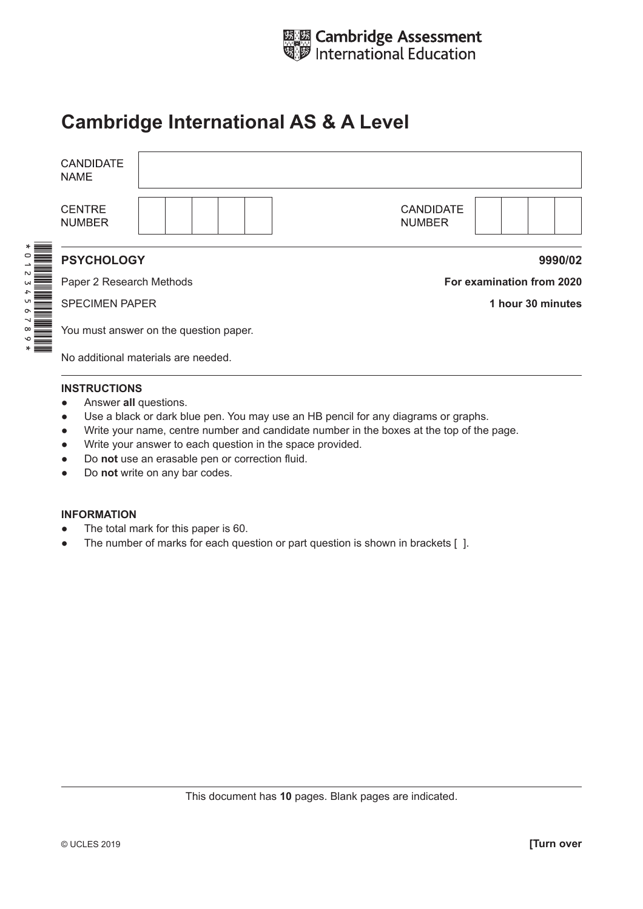

# **Cambridge International AS & A Level**

| <b>CANDIDATE</b><br><b>NAME</b>        |                                   |  |  |  |
|----------------------------------------|-----------------------------------|--|--|--|
| <b>CENTRE</b><br><b>NUMBER</b>         | <b>CANDIDATE</b><br><b>NUMBER</b> |  |  |  |
| <b>PSYCHOLOGY</b>                      | 9990/02                           |  |  |  |
| Paper 2 Research Methods               | For examination from 2020         |  |  |  |
| <b>SPECIMEN PAPER</b>                  | 1 hour 30 minutes                 |  |  |  |
| You must answer on the question paper. |                                   |  |  |  |
| No additional materials are needed.    |                                   |  |  |  |
| <b>INSTRUCTIONS</b>                    |                                   |  |  |  |

- Answer **all** questions.
- Use a black or dark blue pen. You may use an HB pencil for any diagrams or graphs.
- Write your name, centre number and candidate number in the boxes at the top of the page.
- Write your answer to each question in the space provided.
- Do **not** use an erasable pen or correction fluid.
- Do **not** write on any bar codes.

#### **INFORMATION**

- The total mark for this paper is 60.
- The number of marks for each question or part question is shown in brackets [ ].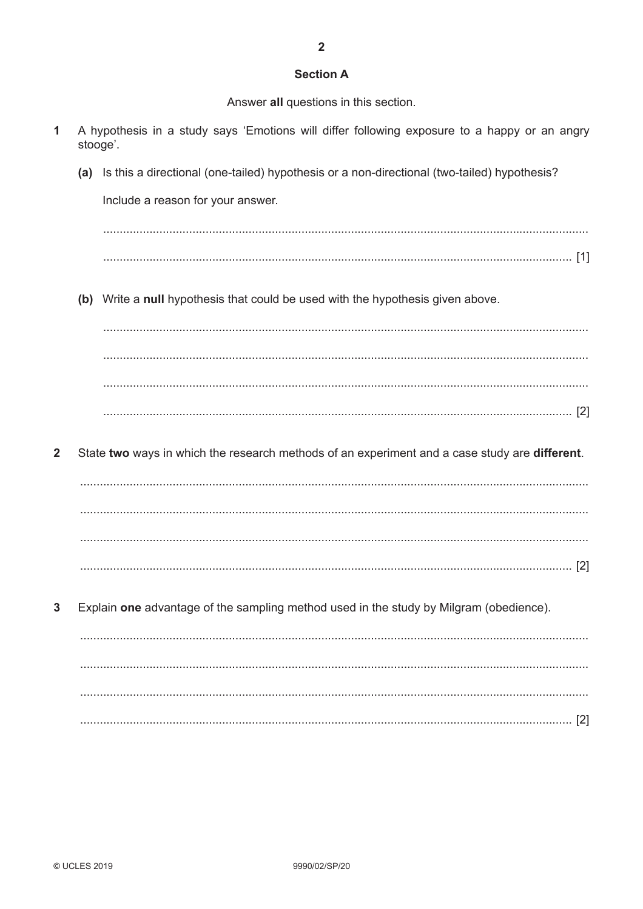## **Section A**

Answer all questions in this section.

- A hypothesis in a study says 'Emotions will differ following exposure to a happy or an angry 1 stooge'.
	- (a) Is this a directional (one-tailed) hypothesis or a non-directional (two-tailed) hypothesis?

Include a reason for your answer.

(b) Write a null hypothesis that could be used with the hypothesis given above.

 $\overline{2}$ State two ways in which the research methods of an experiment and a case study are different.

 $\overline{3}$ Explain one advantage of the sampling method used in the study by Milgram (obedience).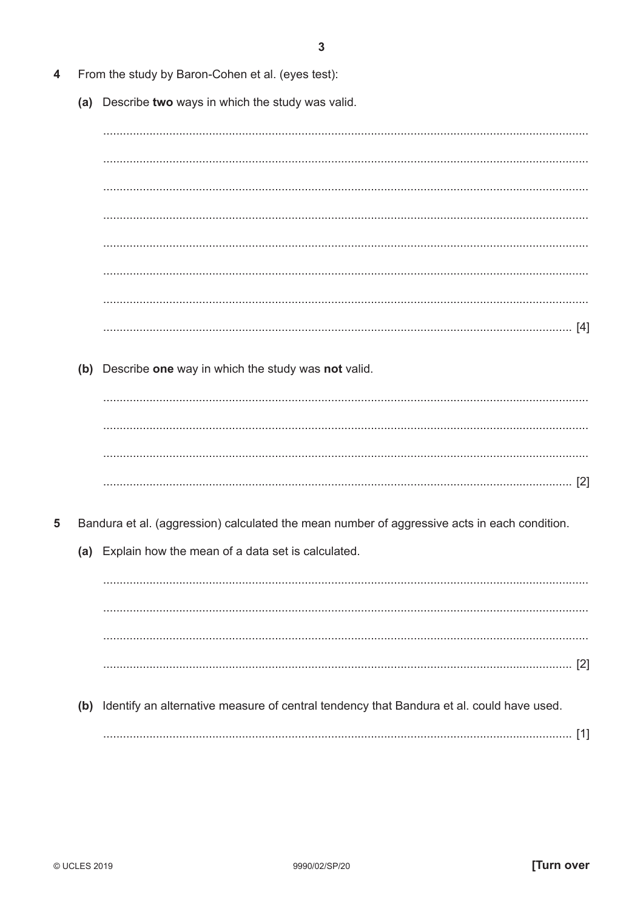- From the study by Baron-Cohen et al. (eyes test):  $\boldsymbol{\Lambda}$ 
	- (a) Describe two ways in which the study was valid.

(b) Describe one way in which the study was not valid.

 $[2]$ 

- 5 Bandura et al. (aggression) calculated the mean number of aggressive acts in each condition.
	- (a) Explain how the mean of a data set is calculated.

(b) Identify an alternative measure of central tendency that Bandura et al. could have used.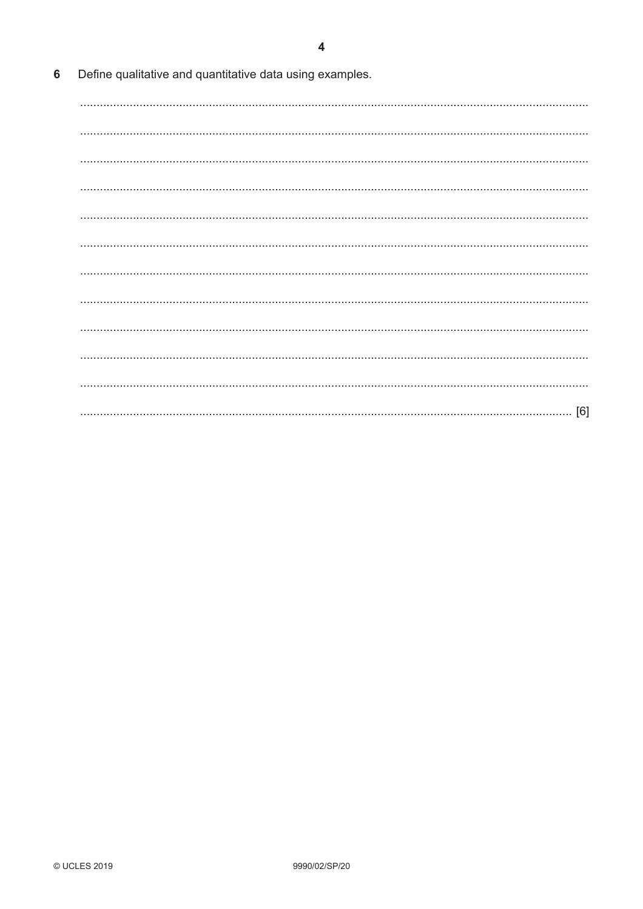$\overline{\mathbf{4}}$ 

| - 6 |  |  | Define qualitative and quantitative data using examples. |  |  |  |
|-----|--|--|----------------------------------------------------------|--|--|--|
|-----|--|--|----------------------------------------------------------|--|--|--|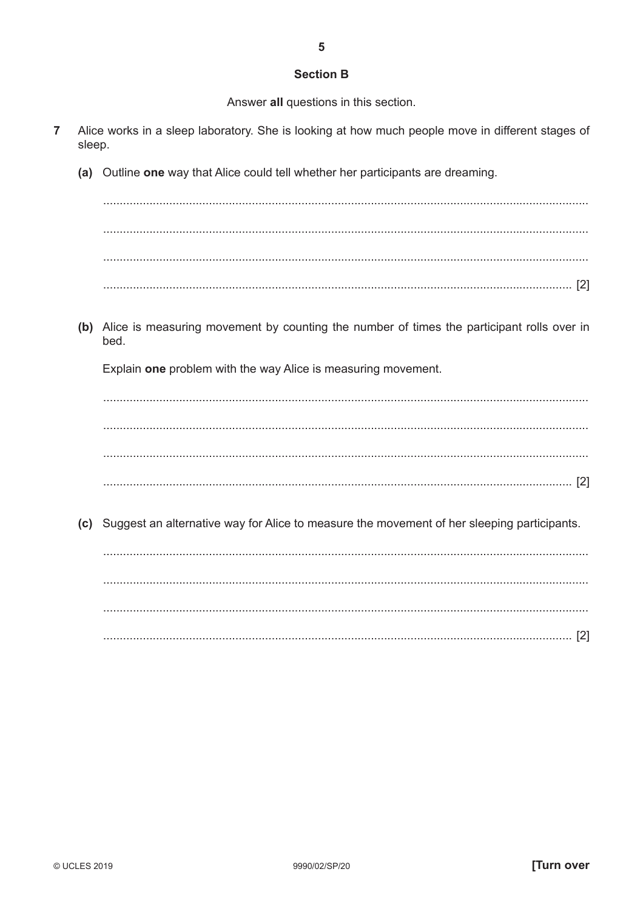## **Section B**

Answer all questions in this section.

- $\overline{7}$ Alice works in a sleep laboratory. She is looking at how much people move in different stages of sleep.
	- (a) Outline one way that Alice could tell whether her participants are dreaming.

(b) Alice is measuring movement by counting the number of times the participant rolls over in bed.

Explain one problem with the way Alice is measuring movement.

(c) Suggest an alternative way for Alice to measure the movement of her sleeping participants.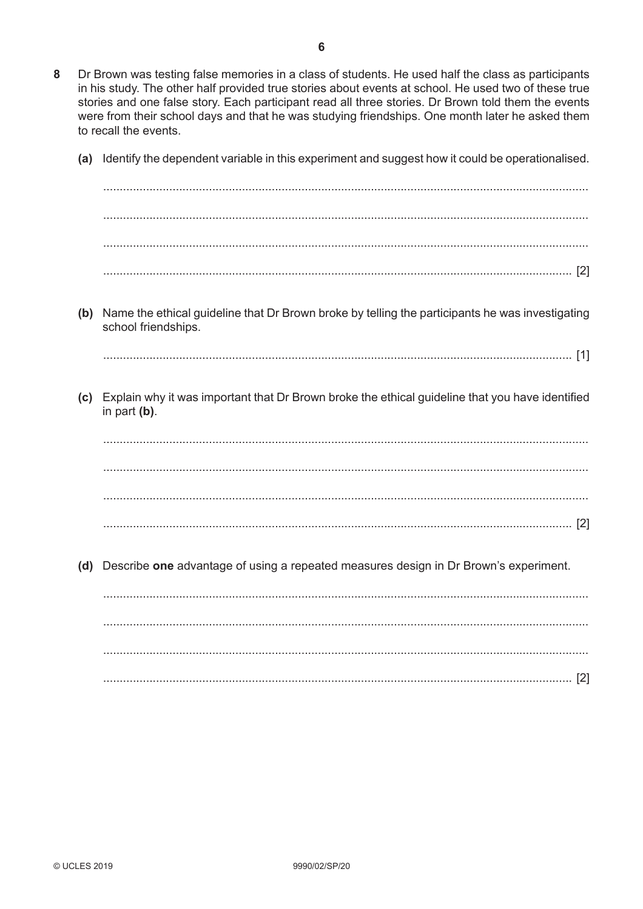- 8 Dr Brown was testing false memories in a class of students. He used half the class as participants in his study. The other half provided true stories about events at school. He used two of these true stories and one false story. Each participant read all three stories. Dr Brown told them the events were from their school days and that he was studying friendships. One month later he asked them to recall the events.
	- (a) Identify the dependent variable in this experiment and suggest how it could be operationalised.

(b) Name the ethical guideline that Dr Brown broke by telling the participants he was investigating school friendships. (c) Explain why it was important that Dr Brown broke the ethical guideline that you have identified in part  $(b)$ . (d) Describe one advantage of using a repeated measures design in Dr Brown's experiment.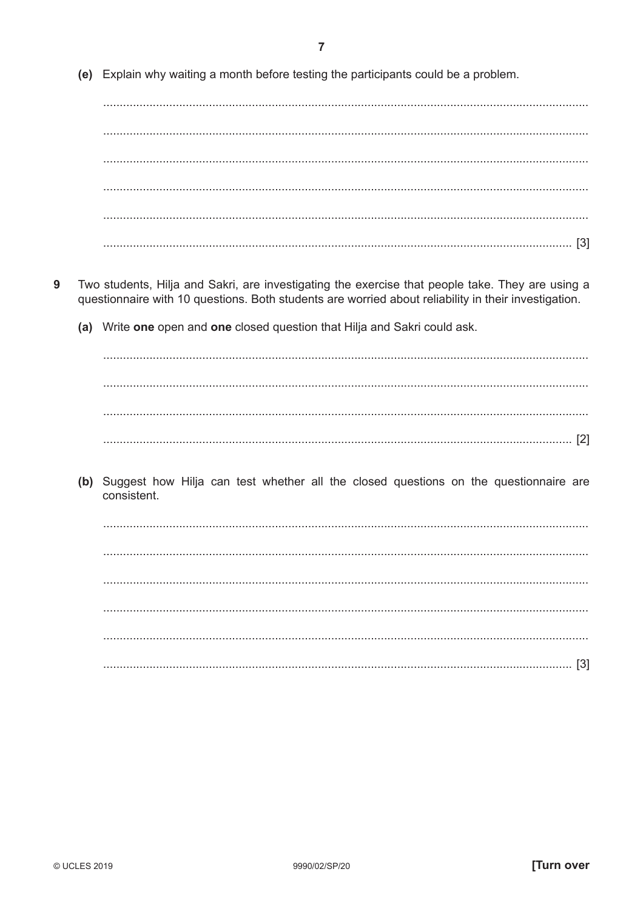(e) Explain why waiting a month before testing the participants could be a problem.

- 9 Two students, Hilja and Sakri, are investigating the exercise that people take. They are using a questionnaire with 10 questions. Both students are worried about reliability in their investigation.
	- (a) Write one open and one closed question that Hilja and Sakri could ask.

(b) Suggest how Hilja can test whether all the closed questions on the questionnaire are consistent.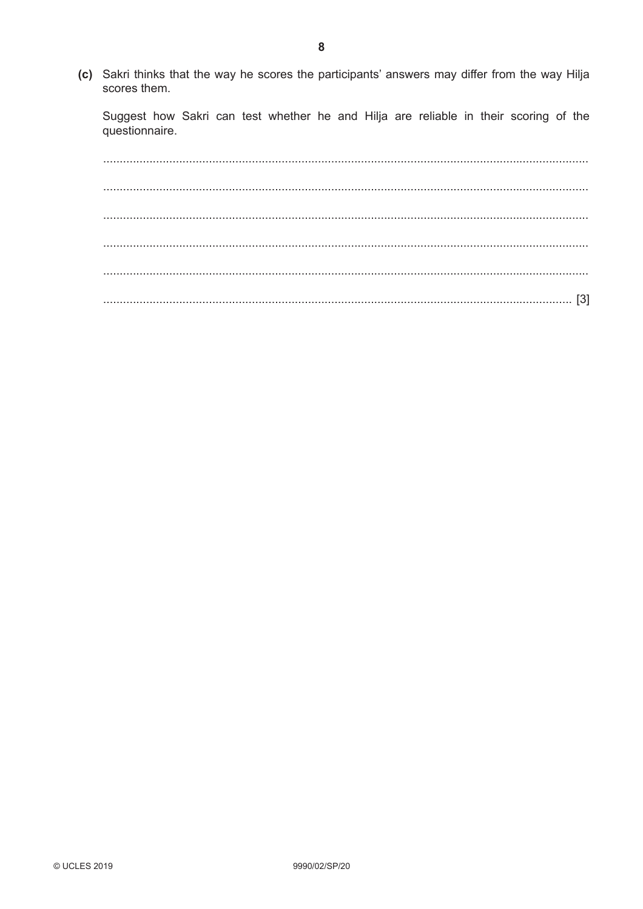(c) Sakri thinks that the way he scores the participants' answers may differ from the way Hilja scores them.

Suggest how Sakri can test whether he and Hilja are reliable in their scoring of the questionnaire.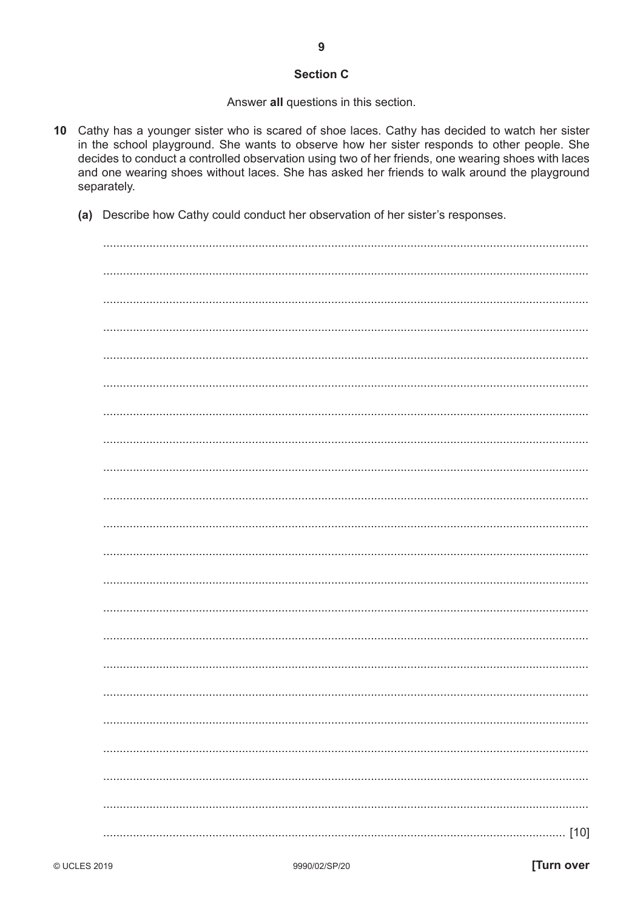## **Section C**

9

Answer all questions in this section.

- 10 Cathy has a younger sister who is scared of shoe laces. Cathy has decided to watch her sister in the school playground. She wants to observe how her sister responds to other people. She decides to conduct a controlled observation using two of her friends, one wearing shoes with laces and one wearing shoes without laces. She has asked her friends to walk around the playground separately.
	- (a) Describe how Cathy could conduct her observation of her sister's responses.